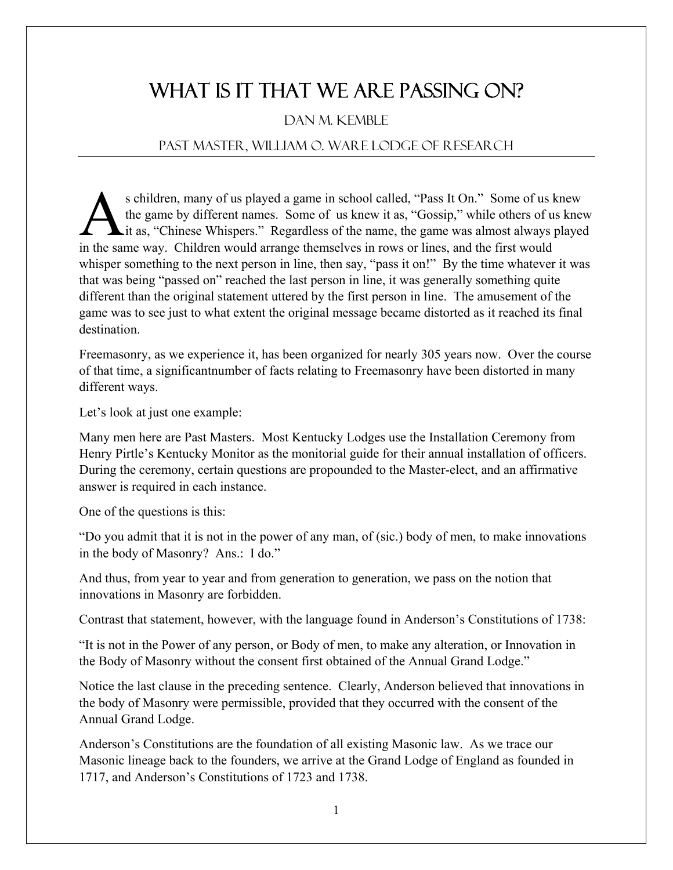## WHAT IS IT THAT WE ARE PASSING ON?

## Dan M. Kemble

## Past Master, William O. Ware Lodge of Research

s children, many of us played a game in school called, "Pass It On." Some of us knew the game by different names. Some of us knew it as, "Gossip," while others of us knew it as, "Chinese Whispers." Regardless of the name, the game was almost always played Schildren, many of us played a game in school called, "Pass It On." Some of us I the game by different names. Some of us knew it as, "Gossip," while others of us it as, "Chinese Whispers." Regardless of the name, the game whisper something to the next person in line, then say, "pass it on!" By the time whatever it was that was being "passed on" reached the last person in line, it was generally something quite different than the original statement uttered by the first person in line. The amusement of the game was to see just to what extent the original message became distorted as it reached its final destination.

Freemasonry, as we experience it, has been organized for nearly 305 years now. Over the course of that time, a significantnumber of facts relating to Freemasonry have been distorted in many different ways.

Let's look at just one example:

Many men here are Past Masters. Most Kentucky Lodges use the Installation Ceremony from Henry Pirtle's Kentucky Monitor as the monitorial guide for their annual installation of officers. During the ceremony, certain questions are propounded to the Master-elect, and an affirmative answer is required in each instance.

One of the questions is this:

"Do you admit that it is not in the power of any man, of (sic.) body of men, to make innovations in the body of Masonry? Ans.: I do."

And thus, from year to year and from generation to generation, we pass on the notion that innovations in Masonry are forbidden.

Contrast that statement, however, with the language found in Anderson's Constitutions of 1738:

"It is not in the Power of any person, or Body of men, to make any alteration, or Innovation in the Body of Masonry without the consent first obtained of the Annual Grand Lodge."

Notice the last clause in the preceding sentence. Clearly, Anderson believed that innovations in the body of Masonry were permissible, provided that they occurred with the consent of the Annual Grand Lodge.

Anderson's Constitutions are the foundation of all existing Masonic law. As we trace our Masonic lineage back to the founders, we arrive at the Grand Lodge of England as founded in 1717, and Anderson's Constitutions of 1723 and 1738.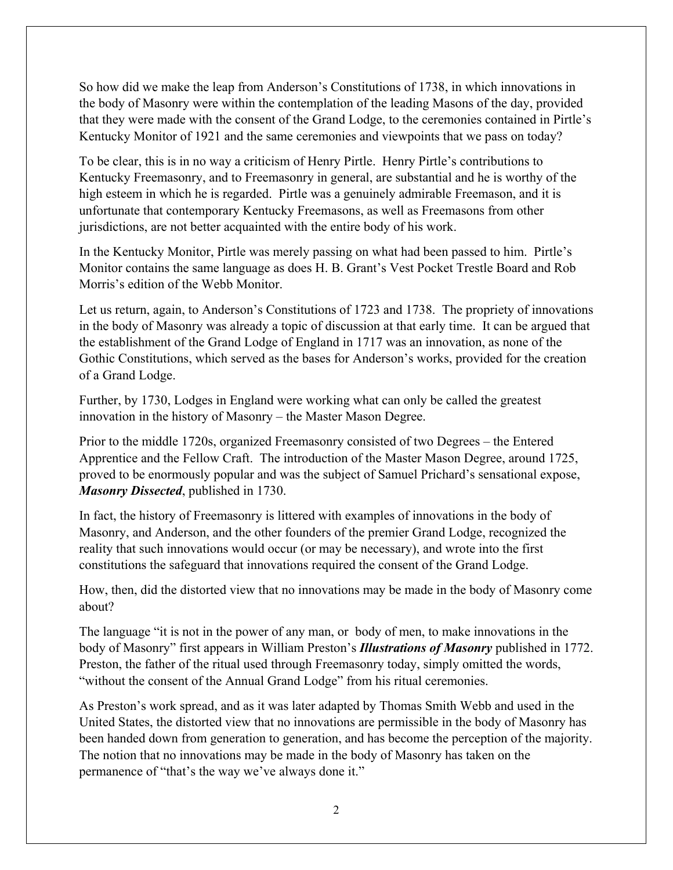So how did we make the leap from Anderson's Constitutions of 1738, in which innovations in the body of Masonry were within the contemplation of the leading Masons of the day, provided that they were made with the consent of the Grand Lodge, to the ceremonies contained in Pirtle's Kentucky Monitor of 1921 and the same ceremonies and viewpoints that we pass on today?

To be clear, this is in no way a criticism of Henry Pirtle. Henry Pirtle's contributions to Kentucky Freemasonry, and to Freemasonry in general, are substantial and he is worthy of the high esteem in which he is regarded. Pirtle was a genuinely admirable Freemason, and it is unfortunate that contemporary Kentucky Freemasons, as well as Freemasons from other jurisdictions, are not better acquainted with the entire body of his work.

In the Kentucky Monitor, Pirtle was merely passing on what had been passed to him. Pirtle's Monitor contains the same language as does H. B. Grant's Vest Pocket Trestle Board and Rob Morris's edition of the Webb Monitor.

Let us return, again, to Anderson's Constitutions of 1723 and 1738. The propriety of innovations in the body of Masonry was already a topic of discussion at that early time. It can be argued that the establishment of the Grand Lodge of England in 1717 was an innovation, as none of the Gothic Constitutions, which served as the bases for Anderson's works, provided for the creation of a Grand Lodge.

Further, by 1730, Lodges in England were working what can only be called the greatest innovation in the history of Masonry – the Master Mason Degree.

Prior to the middle 1720s, organized Freemasonry consisted of two Degrees – the Entered Apprentice and the Fellow Craft. The introduction of the Master Mason Degree, around 1725, proved to be enormously popular and was the subject of Samuel Prichard's sensational expose, *Masonry Dissected*, published in 1730.

In fact, the history of Freemasonry is littered with examples of innovations in the body of Masonry, and Anderson, and the other founders of the premier Grand Lodge, recognized the reality that such innovations would occur (or may be necessary), and wrote into the first constitutions the safeguard that innovations required the consent of the Grand Lodge.

How, then, did the distorted view that no innovations may be made in the body of Masonry come about?

The language "it is not in the power of any man, or body of men, to make innovations in the body of Masonry" first appears in William Preston's *Illustrations of Masonry* published in 1772. Preston, the father of the ritual used through Freemasonry today, simply omitted the words, "without the consent of the Annual Grand Lodge" from his ritual ceremonies.

As Preston's work spread, and as it was later adapted by Thomas Smith Webb and used in the United States, the distorted view that no innovations are permissible in the body of Masonry has been handed down from generation to generation, and has become the perception of the majority. The notion that no innovations may be made in the body of Masonry has taken on the permanence of "that's the way we've always done it."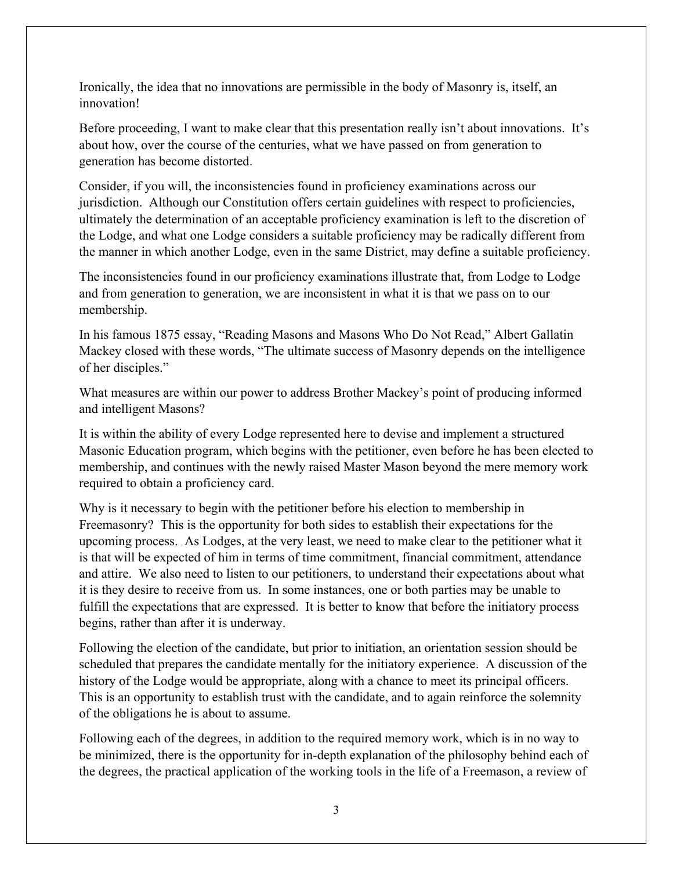Ironically, the idea that no innovations are permissible in the body of Masonry is, itself, an innovation!

Before proceeding, I want to make clear that this presentation really isn't about innovations. It's about how, over the course of the centuries, what we have passed on from generation to generation has become distorted.

Consider, if you will, the inconsistencies found in proficiency examinations across our jurisdiction. Although our Constitution offers certain guidelines with respect to proficiencies, ultimately the determination of an acceptable proficiency examination is left to the discretion of the Lodge, and what one Lodge considers a suitable proficiency may be radically different from the manner in which another Lodge, even in the same District, may define a suitable proficiency.

The inconsistencies found in our proficiency examinations illustrate that, from Lodge to Lodge and from generation to generation, we are inconsistent in what it is that we pass on to our membership.

In his famous 1875 essay, "Reading Masons and Masons Who Do Not Read," Albert Gallatin Mackey closed with these words, "The ultimate success of Masonry depends on the intelligence of her disciples."

What measures are within our power to address Brother Mackey's point of producing informed and intelligent Masons?

It is within the ability of every Lodge represented here to devise and implement a structured Masonic Education program, which begins with the petitioner, even before he has been elected to membership, and continues with the newly raised Master Mason beyond the mere memory work required to obtain a proficiency card.

Why is it necessary to begin with the petitioner before his election to membership in Freemasonry? This is the opportunity for both sides to establish their expectations for the upcoming process. As Lodges, at the very least, we need to make clear to the petitioner what it is that will be expected of him in terms of time commitment, financial commitment, attendance and attire. We also need to listen to our petitioners, to understand their expectations about what it is they desire to receive from us. In some instances, one or both parties may be unable to fulfill the expectations that are expressed. It is better to know that before the initiatory process begins, rather than after it is underway.

Following the election of the candidate, but prior to initiation, an orientation session should be scheduled that prepares the candidate mentally for the initiatory experience. A discussion of the history of the Lodge would be appropriate, along with a chance to meet its principal officers. This is an opportunity to establish trust with the candidate, and to again reinforce the solemnity of the obligations he is about to assume.

Following each of the degrees, in addition to the required memory work, which is in no way to be minimized, there is the opportunity for in-depth explanation of the philosophy behind each of the degrees, the practical application of the working tools in the life of a Freemason, a review of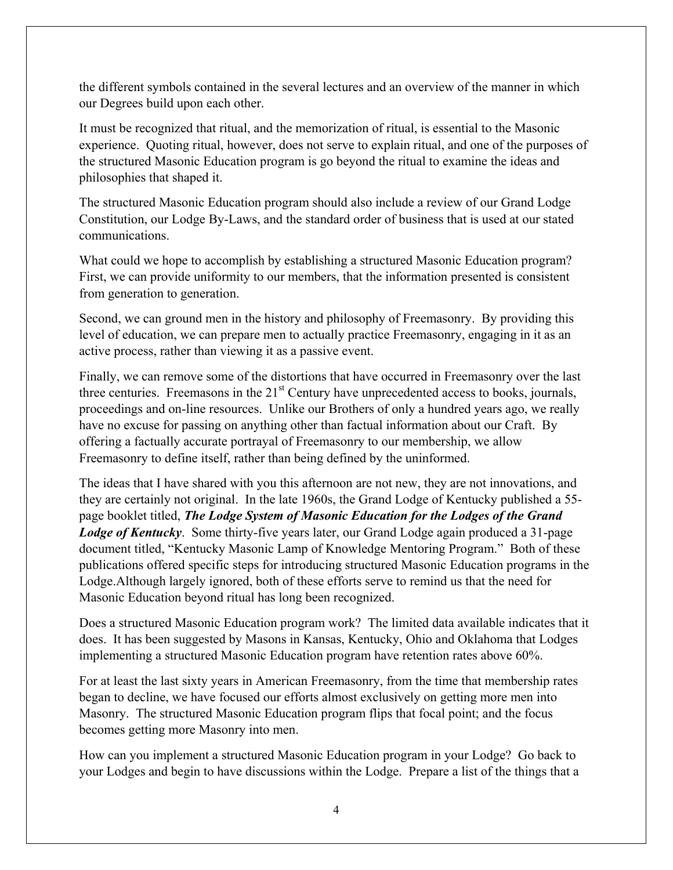the different symbols contained in the several lectures and an overview of the manner in which our Degrees build upon each other.

It must be recognized that ritual, and the memorization of ritual, is essential to the Masonic experience. Quoting ritual, however, does not serve to explain ritual, and one of the purposes of the structured Masonic Education program is go beyond the ritual to examine the ideas and philosophies that shaped it.

The structured Masonic Education program should also include a review of our Grand Lodge Constitution, our Lodge By-Laws, and the standard order of business that is used at our stated communications.

What could we hope to accomplish by establishing a structured Masonic Education program? First, we can provide uniformity to our members, that the information presented is consistent from generation to generation.

Second, we can ground men in the history and philosophy of Freemasonry. By providing this level of education, we can prepare men to actually practice Freemasonry, engaging in it as an active process, rather than viewing it as a passive event.

Finally, we can remove some of the distortions that have occurred in Freemasonry over the last three centuries. Freemasons in the  $21<sup>st</sup>$  Century have unprecedented access to books, journals, proceedings and on-line resources. Unlike our Brothers of only a hundred years ago, we really have no excuse for passing on anything other than factual information about our Craft. By offering a factually accurate portrayal of Freemasonry to our membership, we allow Freemasonry to define itself, rather than being defined by the uninformed.

The ideas that I have shared with you this afternoon are not new, they are not innovations, and they are certainly not original. In the late 1960s, the Grand Lodge of Kentucky published a 55 page booklet titled, *The Lodge System of Masonic Education for the Lodges of the Grand Lodge of Kentucky*. Some thirty-five years later, our Grand Lodge again produced a 31-page document titled, "Kentucky Masonic Lamp of Knowledge Mentoring Program." Both of these publications offered specific steps for introducing structured Masonic Education programs in the Lodge.Although largely ignored, both of these efforts serve to remind us that the need for Masonic Education beyond ritual has long been recognized.

Does a structured Masonic Education program work? The limited data available indicates that it does. It has been suggested by Masons in Kansas, Kentucky, Ohio and Oklahoma that Lodges implementing a structured Masonic Education program have retention rates above 60%.

For at least the last sixty years in American Freemasonry, from the time that membership rates began to decline, we have focused our efforts almost exclusively on getting more men into Masonry. The structured Masonic Education program flips that focal point; and the focus becomes getting more Masonry into men.

How can you implement a structured Masonic Education program in your Lodge? Go back to your Lodges and begin to have discussions within the Lodge. Prepare a list of the things that a